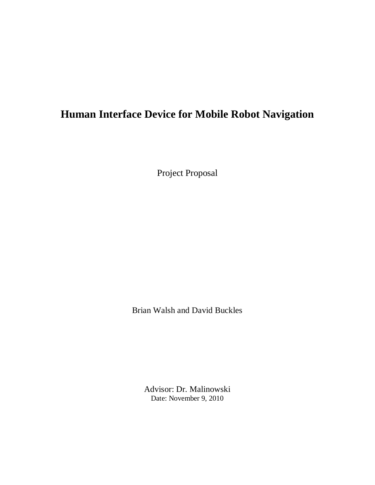# **Human Interface Device for Mobile Robot Navigation**

Project Proposal

Brian Walsh and David Buckles

Advisor: Dr. Malinowski Date: November 9, 2010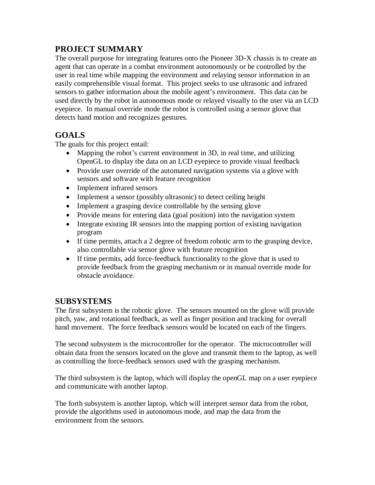## **PROJECT SUMMARY**

The overall purpose for integrating features onto the Pioneer 3D-X chassis is to create an agent that can operate in a combat environment autonomously or be controlled by the user in real time while mapping the environment and relaying sensor information in an easily comprehensible visual format. This project seeks to use ultrasonic and infrared sensors to gather information about the mobile agent's environment. This data can be used directly by the robot in autonomous mode or relayed visually to the user via an LCD eyepiece. In manual override mode the robot is controlled using a sensor glove that detects hand motion and recognizes gestures.

### **GOALS**

The goals for this project entail:

- Mapping the robot's current environment in 3D, in real time, and utilizing OpenGL to display the data on an LCD eyepiece to provide visual feedback
- Provide user override of the automated navigation systems via a glove with sensors and software with feature recognition
- Implement infrared sensors
- Implement a sensor (possibly ultrasonic) to detect ceiling height
- Implement a grasping device controllable by the sensing glove
- Provide means for entering data (goal position) into the navigation system
- Integrate existing IR sensors into the mapping portion of existing navigation program
- If time permits, attach a 2 degree of freedom robotic arm to the grasping device, also controllable via sensor glove with feature recognition
- If time permits, add force-feedback functionality to the glove that is used to provide feedback from the grasping mechanism or in manual override mode for obstacle avoidance.

#### **SUBSYSTEMS**

The first subsystem is the robotic glove. The sensors mounted on the glove will provide pitch, yaw, and rotational feedback, as well as finger position and tracking for overall hand movement. The force feedback sensors would be located on each of the fingers.

The second subsystem is the microcontroller for the operator. The microcontroller will obtain data from the sensors located on the glove and transmit them to the laptop, as well as controlling the force-feedback sensors used with the grasping mechanism.

The third subsystem is the laptop, which will display the openGL map on a user eyepiece and communicate with another laptop.

The forth subsystem is another laptop, which will interpret sensor data from the robot, provide the algorithms used in autonomous mode, and map the data from the environment from the sensors.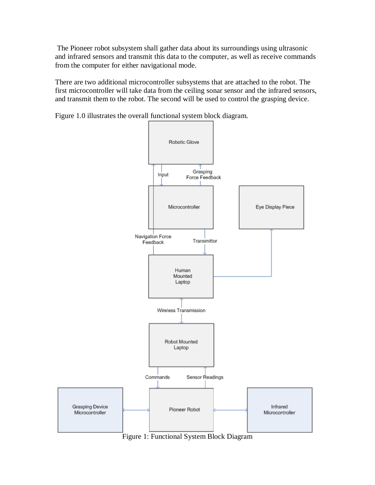The Pioneer robot subsystem shall gather data about its surroundings using ultrasonic and infrared sensors and transmit this data to the computer, as well as receive commands from the computer for either navigational mode.

There are two additional microcontroller subsystems that are attached to the robot. The first microcontroller will take data from the ceiling sonar sensor and the infrared sensors, and transmit them to the robot. The second will be used to control the grasping device.

Figure 1.0 illustrates the overall functional system block diagram.



Figure 1: Functional System Block Diagram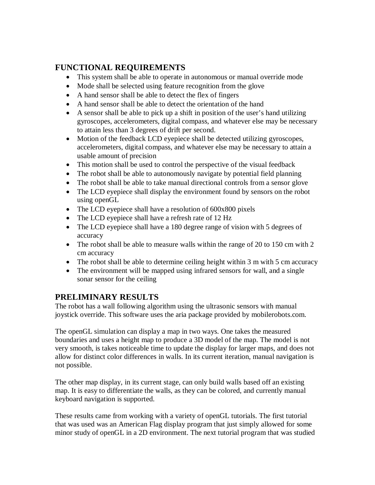### **FUNCTIONAL REQUIREMENTS**

- This system shall be able to operate in autonomous or manual override mode
- Mode shall be selected using feature recognition from the glove
- A hand sensor shall be able to detect the flex of fingers
- A hand sensor shall be able to detect the orientation of the hand
- A sensor shall be able to pick up a shift in position of the user's hand utilizing gyroscopes, accelerometers, digital compass, and whatever else may be necessary to attain less than 3 degrees of drift per second.
- Motion of the feedback LCD eyepiece shall be detected utilizing gyroscopes, accelerometers, digital compass, and whatever else may be necessary to attain a usable amount of precision
- This motion shall be used to control the perspective of the visual feedback
- The robot shall be able to autonomously navigate by potential field planning
- The robot shall be able to take manual directional controls from a sensor glove
- The LCD eyepiece shall display the environment found by sensors on the robot using openGL
- The LCD eyepiece shall have a resolution of 600x800 pixels
- The LCD eyepiece shall have a refresh rate of 12 Hz
- The LCD eyepiece shall have a 180 degree range of vision with 5 degrees of accuracy
- The robot shall be able to measure walls within the range of 20 to 150 cm with 2 cm accuracy
- The robot shall be able to determine ceiling height within 3 m with 5 cm accuracy
- The environment will be mapped using infrared sensors for wall, and a single sonar sensor for the ceiling

### **PRELIMINARY RESULTS**

The robot has a wall following algorithm using the ultrasonic sensors with manual joystick override. This software uses the aria package provided by mobilerobots.com.

The openGL simulation can display a map in two ways. One takes the measured boundaries and uses a height map to produce a 3D model of the map. The model is not very smooth, is takes noticeable time to update the display for larger maps, and does not allow for distinct color differences in walls. In its current iteration, manual navigation is not possible.

The other map display, in its current stage, can only build walls based off an existing map. It is easy to differentiate the walls, as they can be colored, and currently manual keyboard navigation is supported.

These results came from working with a variety of openGL tutorials. The first tutorial that was used was an American Flag display program that just simply allowed for some minor study of openGL in a 2D environment. The next tutorial program that was studied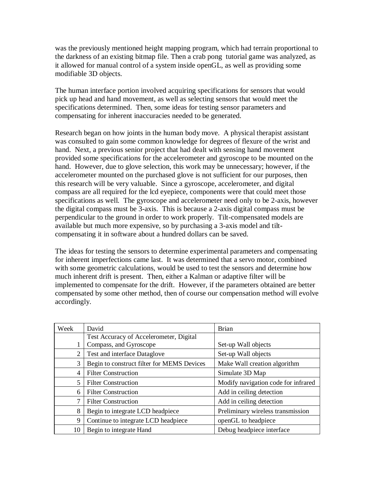was the previously mentioned height mapping program, which had terrain proportional to the darkness of an existing bitmap file. Then a crab pong tutorial game was analyzed, as it allowed for manual control of a system inside openGL, as well as providing some modifiable 3D objects.

The human interface portion involved acquiring specifications for sensors that would pick up head and hand movement, as well as selecting sensors that would meet the specifications determined. Then, some ideas for testing sensor parameters and compensating for inherent inaccuracies needed to be generated.

Research began on how joints in the human body move. A physical therapist assistant was consulted to gain some common knowledge for degrees of flexure of the wrist and hand. Next, a previous senior project that had dealt with sensing hand movement provided some specifications for the accelerometer and gyroscope to be mounted on the hand. However, due to glove selection, this work may be unnecessary; however, if the accelerometer mounted on the purchased glove is not sufficient for our purposes, then this research will be very valuable. Since a gyroscope, accelerometer, and digital compass are all required for the lcd eyepiece, components were that could meet those specifications as well. The gyroscope and accelerometer need only to be 2-axis, however the digital compass must be 3-axis. This is because a 2-axis digital compass must be perpendicular to the ground in order to work properly. Tilt-compensated models are available but much more expensive, so by purchasing a 3-axis model and tiltcompensating it in software about a hundred dollars can be saved.

The ideas for testing the sensors to determine experimental parameters and compensating for inherent imperfections came last. It was determined that a servo motor, combined with some geometric calculations, would be used to test the sensors and determine how much inherent drift is present. Then, either a Kalman or adaptive filter will be implemented to compensate for the drift. However, if the parameters obtained are better compensated by some other method, then of course our compensation method will evolve accordingly.

| Week | David                                      | <b>Brian</b>                        |
|------|--------------------------------------------|-------------------------------------|
|      | Test Accuracy of Accelerometer, Digital    |                                     |
|      | Compass, and Gyroscope                     | Set-up Wall objects                 |
| 2    | Test and interface Dataglove               | Set-up Wall objects                 |
| 3    | Begin to construct filter for MEMS Devices | Make Wall creation algorithm        |
| 4    | <b>Filter Construction</b>                 | Simulate 3D Map                     |
| 5    | <b>Filter Construction</b>                 | Modify navigation code for infrared |
| 6    | <b>Filter Construction</b>                 | Add in ceiling detection            |
| 7    | <b>Filter Construction</b>                 | Add in ceiling detection            |
| 8    | Begin to integrate LCD headpiece           | Preliminary wireless transmission   |
| 9    | Continue to integrate LCD headpiece        | openGL to headpiece                 |
| 10   | Begin to integrate Hand                    | Debug headpiece interface           |